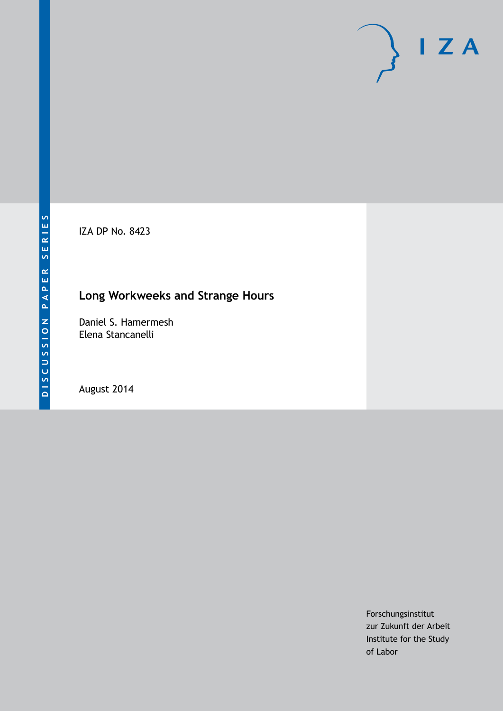IZA DP No. 8423

## **Long Workweeks and Strange Hours**

Daniel S. Hamermesh Elena Stancanelli

August 2014

Forschungsinstitut zur Zukunft der Arbeit Institute for the Study of Labor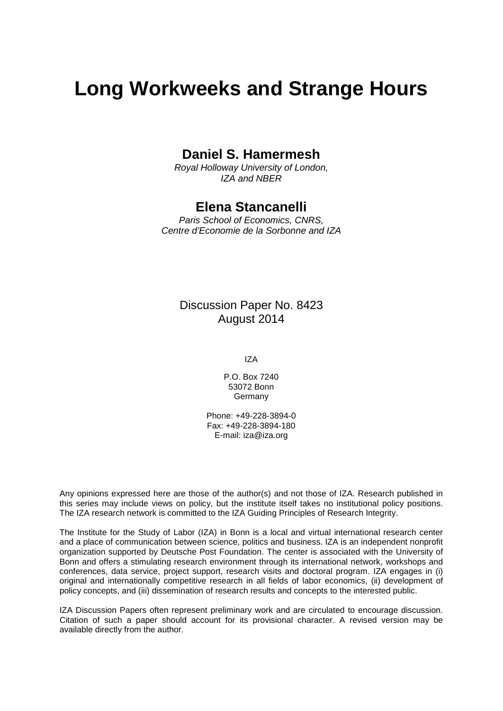# **Long Workweeks and Strange Hours**

### **Daniel S. Hamermesh**

*Royal Holloway University of London, IZA and NBER*

### **Elena Stancanelli**

*Paris School of Economics, CNRS, Centre d'Economie de la Sorbonne and IZA*

### Discussion Paper No. 8423 August 2014

IZA

P.O. Box 7240 53072 Bonn **Germany** 

Phone: +49-228-3894-0 Fax: +49-228-3894-180 E-mail: [iza@iza.org](mailto:iza@iza.org)

Any opinions expressed here are those of the author(s) and not those of IZA. Research published in this series may include views on policy, but the institute itself takes no institutional policy positions. The IZA research network is committed to the IZA Guiding Principles of Research Integrity.

The Institute for the Study of Labor (IZA) in Bonn is a local and virtual international research center and a place of communication between science, politics and business. IZA is an independent nonprofit organization supported by Deutsche Post Foundation. The center is associated with the University of Bonn and offers a stimulating research environment through its international network, workshops and conferences, data service, project support, research visits and doctoral program. IZA engages in (i) original and internationally competitive research in all fields of labor economics, (ii) development of policy concepts, and (iii) dissemination of research results and concepts to the interested public.

<span id="page-1-0"></span>IZA Discussion Papers often represent preliminary work and are circulated to encourage discussion. Citation of such a paper should account for its provisional character. A revised version may be available directly from the author.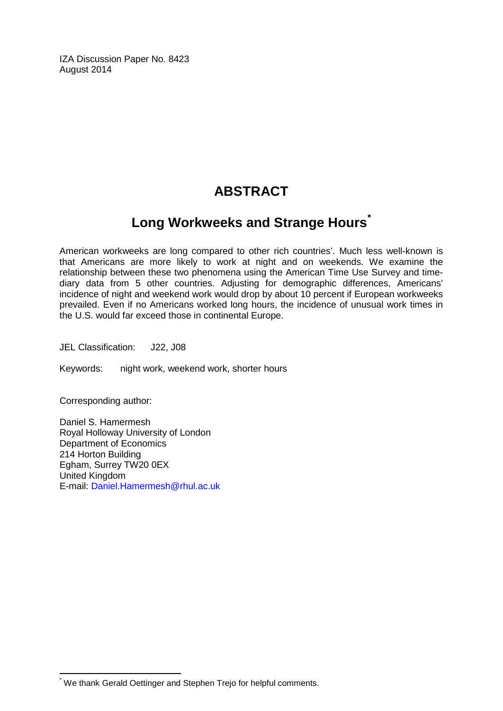IZA Discussion Paper No. 8423 August 2014

## **ABSTRACT**

## **Long Workweeks and Strange Hours[\\*](#page-1-0)**

American workweeks are long compared to other rich countries'. Much less well-known is that Americans are more likely to work at night and on weekends. We examine the relationship between these two phenomena using the American Time Use Survey and timediary data from 5 other countries. Adjusting for demographic differences, Americans' incidence of night and weekend work would drop by about 10 percent if European workweeks prevailed. Even if no Americans worked long hours, the incidence of unusual work times in the U.S. would far exceed those in continental Europe.

JEL Classification: J22, J08

Keywords: night work, weekend work, shorter hours

Corresponding author:

Daniel S. Hamermesh Royal Holloway University of London Department of Economics 214 Horton Building Egham, Surrey TW20 0EX United Kingdom E-mail: [Daniel.Hamermesh@rhul.ac.uk](mailto:Daniel.Hamermesh@rhul.ac.uk)

\* We thank Gerald Oettinger and Stephen Trejo for helpful comments.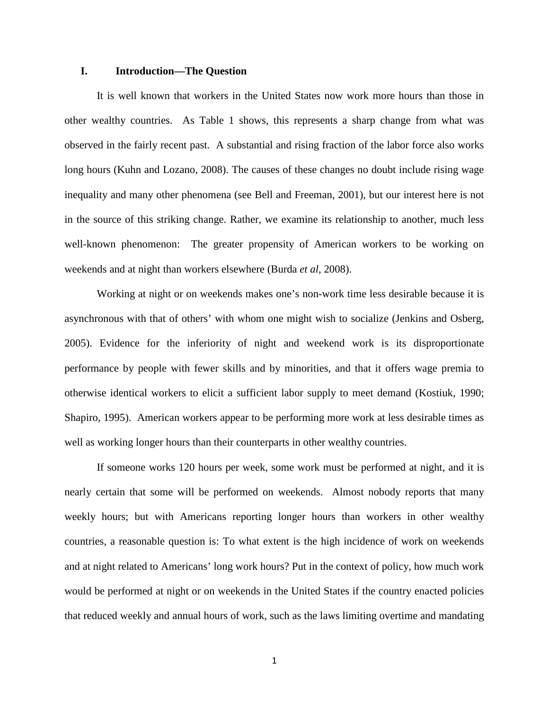#### **I. Introduction—The Question**

It is well known that workers in the United States now work more hours than those in other wealthy countries. As Table 1 shows, this represents a sharp change from what was observed in the fairly recent past. A substantial and rising fraction of the labor force also works long hours (Kuhn and Lozano, 2008). The causes of these changes no doubt include rising wage inequality and many other phenomena (see Bell and Freeman, 2001), but our interest here is not in the source of this striking change. Rather, we examine its relationship to another, much less well-known phenomenon: The greater propensity of American workers to be working on weekends and at night than workers elsewhere (Burda *et al*, 2008).

Working at night or on weekends makes one's non-work time less desirable because it is asynchronous with that of others' with whom one might wish to socialize (Jenkins and Osberg, 2005). Evidence for the inferiority of night and weekend work is its disproportionate performance by people with fewer skills and by minorities, and that it offers wage premia to otherwise identical workers to elicit a sufficient labor supply to meet demand (Kostiuk, 1990; Shapiro, 1995). American workers appear to be performing more work at less desirable times as well as working longer hours than their counterparts in other wealthy countries.

If someone works 120 hours per week, some work must be performed at night, and it is nearly certain that some will be performed on weekends. Almost nobody reports that many weekly hours; but with Americans reporting longer hours than workers in other wealthy countries, a reasonable question is: To what extent is the high incidence of work on weekends and at night related to Americans' long work hours? Put in the context of policy, how much work would be performed at night or on weekends in the United States if the country enacted policies that reduced weekly and annual hours of work, such as the laws limiting overtime and mandating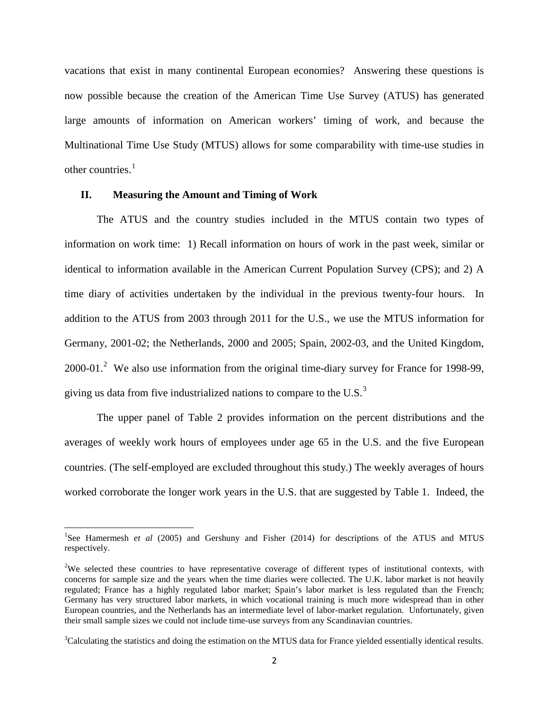vacations that exist in many continental European economies? Answering these questions is now possible because the creation of the American Time Use Survey (ATUS) has generated large amounts of information on American workers' timing of work, and because the Multinational Time Use Study (MTUS) allows for some comparability with time-use studies in other countries.<sup>1</sup>

#### **II. Measuring the Amount and Timing of Work**

The ATUS and the country studies included in the MTUS contain two types of information on work time: 1) Recall information on hours of work in the past week, similar or identical to information available in the American Current Population Survey (CPS); and 2) A time diary of activities undertaken by the individual in the previous twenty-four hours. In addition to the ATUS from 2003 through 2011 for the U.S., we use the MTUS information for Germany, 2001-02; the Netherlands, 2000 and 2005; Spain, 2002-03, and the United Kingdom, [2](#page-4-0)000-01.<sup>2</sup> We also use information from the original time-diary survey for France for 1998-99, giving us data from five industrialized nations to compare to the U.S. $<sup>3</sup>$  $<sup>3</sup>$  $<sup>3</sup>$ </sup>

The upper panel of Table 2 provides information on the percent distributions and the averages of weekly work hours of employees under age 65 in the U.S. and the five European countries. (The self-employed are excluded throughout this study.) The weekly averages of hours worked corroborate the longer work years in the U.S. that are suggested by Table 1. Indeed, the

<span id="page-4-2"></span><sup>|&</sup>lt;br>|<br>| <sup>1</sup>See Hamermesh *et al (2005)* and Gershuny and Fisher (2014) for descriptions of the ATUS and MTUS respectively.

<span id="page-4-0"></span><sup>&</sup>lt;sup>2</sup>We selected these countries to have representative coverage of different types of institutional contexts, with concerns for sample size and the years when the time diaries were collected. The U.K. labor market is not heavily regulated; France has a highly regulated labor market; Spain's labor market is less regulated than the French; Germany has very structured labor markets, in which vocational training is much more widespread than in other European countries, and the Netherlands has an intermediate level of labor-market regulation. Unfortunately, given their small sample sizes we could not include time-use surveys from any Scandinavian countries.

<span id="page-4-1"></span><sup>&</sup>lt;sup>3</sup>Calculating the statistics and doing the estimation on the MTUS data for France yielded essentially identical results.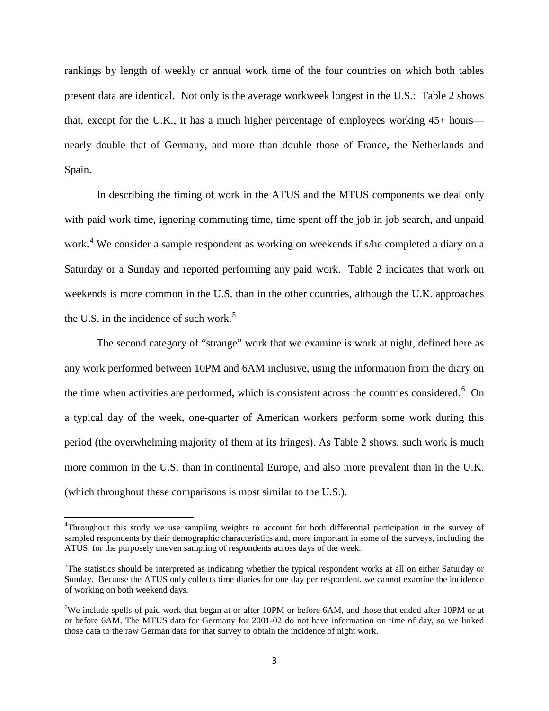rankings by length of weekly or annual work time of the four countries on which both tables present data are identical. Not only is the average workweek longest in the U.S.: Table 2 shows that, except for the U.K., it has a much higher percentage of employees working 45+ hours nearly double that of Germany, and more than double those of France, the Netherlands and Spain.

In describing the timing of work in the ATUS and the MTUS components we deal only with paid work time, ignoring commuting time, time spent off the job in job search, and unpaid work.<sup>[4](#page-4-2)</sup> We consider a sample respondent as working on weekends if s/he completed a diary on a Saturday or a Sunday and reported performing any paid work. Table 2 indicates that work on weekends is more common in the U.S. than in the other countries, although the U.K. approaches the U.S. in the incidence of such work.<sup>[5](#page-5-0)</sup>

The second category of "strange" work that we examine is work at night, defined here as any work performed between 10PM and 6AM inclusive, using the information from the diary on the time when activities are performed, which is consistent across the countries considered.<sup>[6](#page-5-1)</sup> On a typical day of the week, one-quarter of American workers perform some work during this period (the overwhelming majority of them at its fringes). As Table 2 shows, such work is much more common in the U.S. than in continental Europe, and also more prevalent than in the U.K. (which throughout these comparisons is most similar to the U.S.).

 $\frac{1}{4}$ Throughout this study we use sampling weights to account for both differential participation in the survey of sampled respondents by their demographic characteristics and, more important in some of the surveys, including the ATUS, for the purposely uneven sampling of respondents across days of the week.

<span id="page-5-2"></span><span id="page-5-0"></span><sup>&</sup>lt;sup>5</sup>The statistics should be interpreted as indicating whether the typical respondent works at all on either Saturday or Sunday. Because the ATUS only collects time diaries for one day per respondent, we cannot examine the incidence of working on both weekend days.

<span id="page-5-1"></span><sup>&</sup>lt;sup>6</sup>We include spells of paid work that began at or after 10PM or before 6AM, and those that ended after 10PM or at or before 6AM. The MTUS data for Germany for 2001-02 do not have information on time of day, so we linked those data to the raw German data for that survey to obtain the incidence of night work.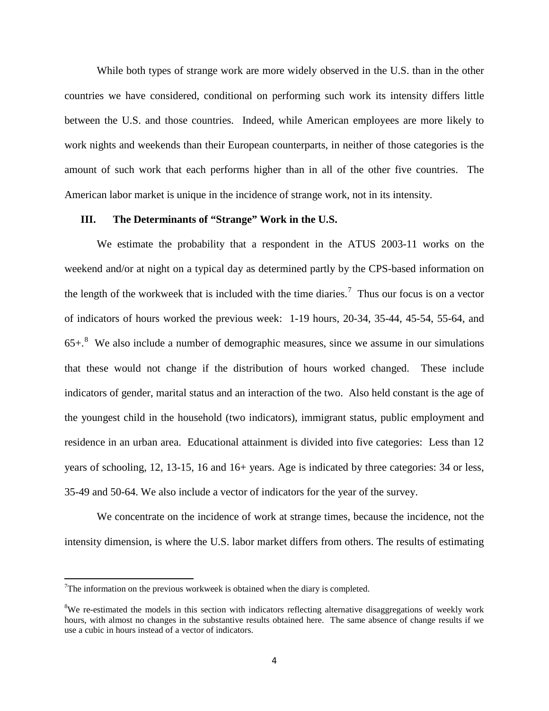While both types of strange work are more widely observed in the U.S. than in the other countries we have considered, conditional on performing such work its intensity differs little between the U.S. and those countries. Indeed, while American employees are more likely to work nights and weekends than their European counterparts, in neither of those categories is the amount of such work that each performs higher than in all of the other five countries. The American labor market is unique in the incidence of strange work, not in its intensity.

#### **III. The Determinants of "Strange" Work in the U.S.**

We estimate the probability that a respondent in the ATUS 2003-11 works on the weekend and/or at night on a typical day as determined partly by the CPS-based information on the length of the workweek that is included with the time diaries.<sup>[7](#page-5-2)</sup> Thus our focus is on a vector of indicators of hours worked the previous week: 1-19 hours, 20-34, 35-44, 45-54, 55-64, and  $65+.$ <sup>[8](#page-6-0)</sup> We also include a number of demographic measures, since we assume in our simulations that these would not change if the distribution of hours worked changed. These include indicators of gender, marital status and an interaction of the two. Also held constant is the age of the youngest child in the household (two indicators), immigrant status, public employment and residence in an urban area. Educational attainment is divided into five categories: Less than 12 years of schooling, 12, 13-15, 16 and 16+ years. Age is indicated by three categories: 34 or less, 35-49 and 50-64. We also include a vector of indicators for the year of the survey.

We concentrate on the incidence of work at strange times, because the incidence, not the intensity dimension, is where the U.S. labor market differs from others. The results of estimating

<span id="page-6-1"></span><sup>⊤&</sup>lt;br>7  $T$ The information on the previous workweek is obtained when the diary is completed.

<span id="page-6-0"></span><sup>&</sup>lt;sup>8</sup>We re-estimated the models in this section with indicators reflecting alternative disaggregations of weekly work hours, with almost no changes in the substantive results obtained here. The same absence of change results if we use a cubic in hours instead of a vector of indicators.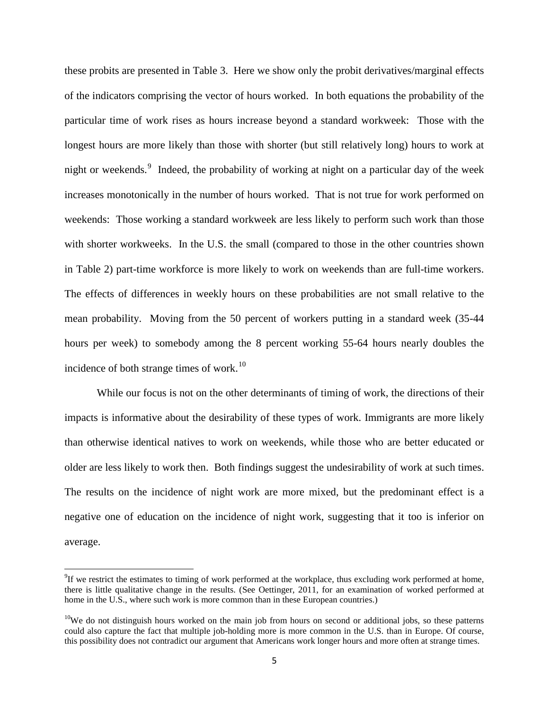these probits are presented in Table 3. Here we show only the probit derivatives/marginal effects of the indicators comprising the vector of hours worked. In both equations the probability of the particular time of work rises as hours increase beyond a standard workweek: Those with the longest hours are more likely than those with shorter (but still relatively long) hours to work at night or weekends.<sup>[9](#page-6-1)</sup> Indeed, the probability of working at night on a particular day of the week increases monotonically in the number of hours worked. That is not true for work performed on weekends: Those working a standard workweek are less likely to perform such work than those with shorter workweeks. In the U.S. the small (compared to those in the other countries shown in Table 2) part-time workforce is more likely to work on weekends than are full-time workers. The effects of differences in weekly hours on these probabilities are not small relative to the mean probability. Moving from the 50 percent of workers putting in a standard week (35-44 hours per week) to somebody among the 8 percent working 55-64 hours nearly doubles the incidence of both strange times of work. $10$ 

While our focus is not on the other determinants of timing of work, the directions of their impacts is informative about the desirability of these types of work. Immigrants are more likely than otherwise identical natives to work on weekends, while those who are better educated or older are less likely to work then. Both findings suggest the undesirability of work at such times. The results on the incidence of night work are more mixed, but the predominant effect is a negative one of education on the incidence of night work, suggesting that it too is inferior on average.

<sup>-&</sup>lt;br>9 <sup>9</sup>If we restrict the estimates to timing of work performed at the workplace, thus excluding work performed at home, there is little qualitative change in the results. (See Oettinger, 2011, for an examination of worked performed at home in the U.S., where such work is more common than in these European countries.)

<span id="page-7-0"></span><sup>&</sup>lt;sup>10</sup>We do not distinguish hours worked on the main job from hours on second or additional jobs, so these patterns could also capture the fact that multiple job-holding more is more common in the U.S. than in Europe. Of course, this possibility does not contradict our argument that Americans work longer hours and more often at strange times.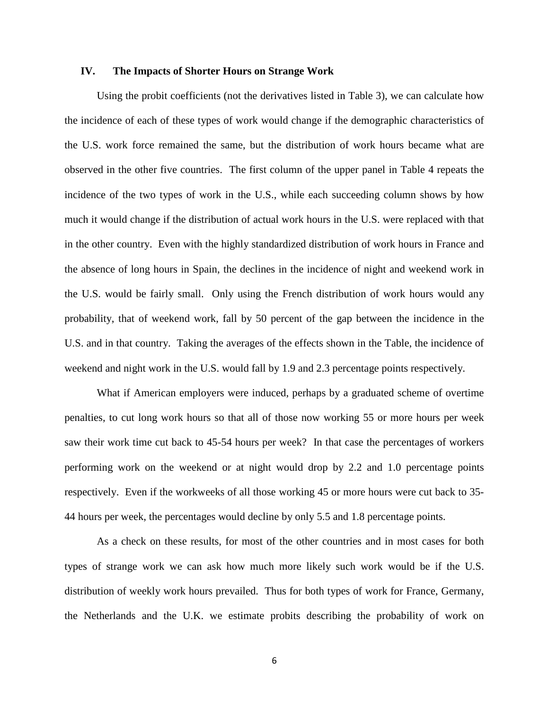#### **IV. The Impacts of Shorter Hours on Strange Work**

Using the probit coefficients (not the derivatives listed in Table 3), we can calculate how the incidence of each of these types of work would change if the demographic characteristics of the U.S. work force remained the same, but the distribution of work hours became what are observed in the other five countries. The first column of the upper panel in Table 4 repeats the incidence of the two types of work in the U.S., while each succeeding column shows by how much it would change if the distribution of actual work hours in the U.S. were replaced with that in the other country. Even with the highly standardized distribution of work hours in France and the absence of long hours in Spain, the declines in the incidence of night and weekend work in the U.S. would be fairly small. Only using the French distribution of work hours would any probability, that of weekend work, fall by 50 percent of the gap between the incidence in the U.S. and in that country. Taking the averages of the effects shown in the Table, the incidence of weekend and night work in the U.S. would fall by 1.9 and 2.3 percentage points respectively.

What if American employers were induced, perhaps by a graduated scheme of overtime penalties, to cut long work hours so that all of those now working 55 or more hours per week saw their work time cut back to 45-54 hours per week? In that case the percentages of workers performing work on the weekend or at night would drop by 2.2 and 1.0 percentage points respectively. Even if the workweeks of all those working 45 or more hours were cut back to 35- 44 hours per week, the percentages would decline by only 5.5 and 1.8 percentage points.

As a check on these results, for most of the other countries and in most cases for both types of strange work we can ask how much more likely such work would be if the U.S. distribution of weekly work hours prevailed. Thus for both types of work for France, Germany, the Netherlands and the U.K. we estimate probits describing the probability of work on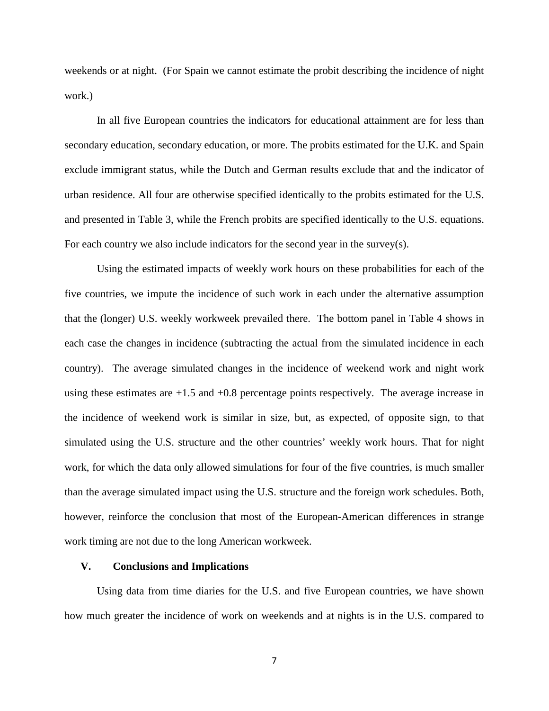weekends or at night. (For Spain we cannot estimate the probit describing the incidence of night work.)

In all five European countries the indicators for educational attainment are for less than secondary education, secondary education, or more. The probits estimated for the U.K. and Spain exclude immigrant status, while the Dutch and German results exclude that and the indicator of urban residence. All four are otherwise specified identically to the probits estimated for the U.S. and presented in Table 3, while the French probits are specified identically to the U.S. equations. For each country we also include indicators for the second year in the survey(s).

Using the estimated impacts of weekly work hours on these probabilities for each of the five countries, we impute the incidence of such work in each under the alternative assumption that the (longer) U.S. weekly workweek prevailed there. The bottom panel in Table 4 shows in each case the changes in incidence (subtracting the actual from the simulated incidence in each country). The average simulated changes in the incidence of weekend work and night work using these estimates are  $+1.5$  and  $+0.8$  percentage points respectively. The average increase in the incidence of weekend work is similar in size, but, as expected, of opposite sign, to that simulated using the U.S. structure and the other countries' weekly work hours. That for night work, for which the data only allowed simulations for four of the five countries, is much smaller than the average simulated impact using the U.S. structure and the foreign work schedules. Both, however, reinforce the conclusion that most of the European-American differences in strange work timing are not due to the long American workweek.

#### **V. Conclusions and Implications**

Using data from time diaries for the U.S. and five European countries, we have shown how much greater the incidence of work on weekends and at nights is in the U.S. compared to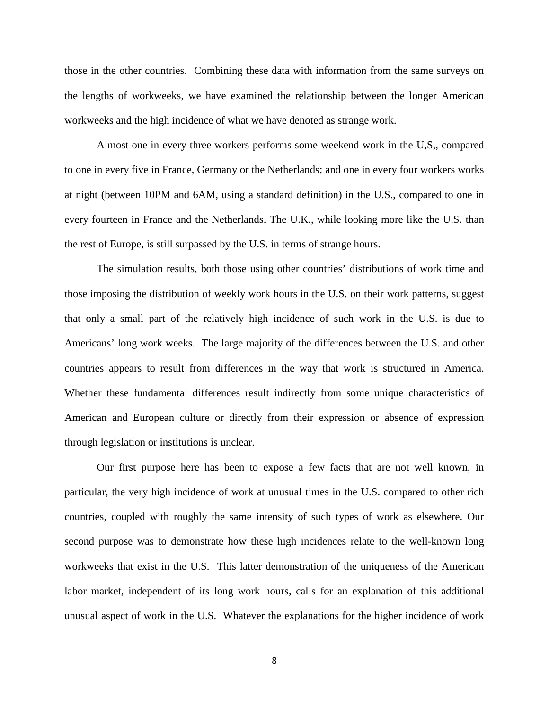those in the other countries. Combining these data with information from the same surveys on the lengths of workweeks, we have examined the relationship between the longer American workweeks and the high incidence of what we have denoted as strange work.

Almost one in every three workers performs some weekend work in the U,S,, compared to one in every five in France, Germany or the Netherlands; and one in every four workers works at night (between 10PM and 6AM, using a standard definition) in the U.S., compared to one in every fourteen in France and the Netherlands. The U.K., while looking more like the U.S. than the rest of Europe, is still surpassed by the U.S. in terms of strange hours.

The simulation results, both those using other countries' distributions of work time and those imposing the distribution of weekly work hours in the U.S. on their work patterns, suggest that only a small part of the relatively high incidence of such work in the U.S. is due to Americans' long work weeks. The large majority of the differences between the U.S. and other countries appears to result from differences in the way that work is structured in America. Whether these fundamental differences result indirectly from some unique characteristics of American and European culture or directly from their expression or absence of expression through legislation or institutions is unclear.

Our first purpose here has been to expose a few facts that are not well known, in particular, the very high incidence of work at unusual times in the U.S. compared to other rich countries, coupled with roughly the same intensity of such types of work as elsewhere. Our second purpose was to demonstrate how these high incidences relate to the well-known long workweeks that exist in the U.S. This latter demonstration of the uniqueness of the American labor market, independent of its long work hours, calls for an explanation of this additional unusual aspect of work in the U.S. Whatever the explanations for the higher incidence of work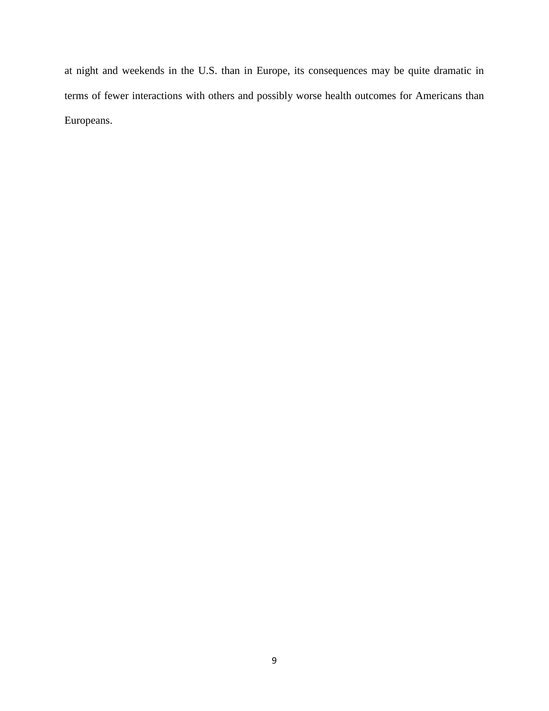at night and weekends in the U.S. than in Europe, its consequences may be quite dramatic in terms of fewer interactions with others and possibly worse health outcomes for Americans than Europeans.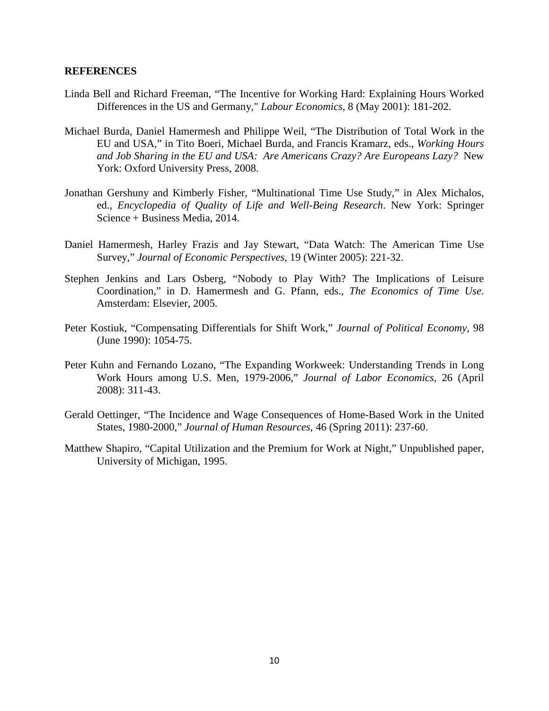#### **REFERENCES**

- Linda Bell and Richard Freeman, "The Incentive for Working Hard: Explaining Hours Worked Differences in the US and Germany," *Labour Economics*, 8 (May 2001): 181-202.
- Michael Burda, Daniel Hamermesh and Philippe Weil, "The Distribution of Total Work in the EU and USA," in Tito Boeri, Michael Burda, and Francis Kramarz, eds., *Working Hours and Job Sharing in the EU and USA: Are Americans Crazy? Are Europeans Lazy?* New York: Oxford University Press, 2008.
- Jonathan Gershuny and Kimberly Fisher, ["Multinational Time Use Study,](http://www.timeuse.org/MTUS-Encyclopedia-of-Quality-of-Life-2014)" in Alex Michalos, ed., *Encyclopedia of Quality of Life and Well-Being Research*. New York: Springer Science + Business Media, 2014.
- Daniel Hamermesh, Harley Frazis and Jay Stewart, "Data Watch: The American Time Use Survey," *Journal of Economic Perspectives*, 19 (Winter 2005): 221-32.
- Stephen Jenkins and Lars Osberg, "Nobody to Play With? The Implications of Leisure Coordination," in D. Hamermesh and G. Pfann, eds., *The Economics of Time Use*. Amsterdam: Elsevier, 2005.
- Peter Kostiuk, "Compensating Differentials for Shift Work," *Journal of Political Economy*, 98 (June 1990): 1054-75.
- Peter Kuhn and Fernando Lozano, "The Expanding Workweek: Understanding Trends in Long Work Hours among U.S. Men, 1979-2006," *Journal of Labor Economics*, 26 (April 2008): 311-43.
- Gerald Oettinger, "The Incidence and Wage Consequences of Home-Based Work in the United States, 1980-2000," *Journal of Human Resources*, 46 (Spring 2011): 237-60.
- Matthew Shapiro, "Capital Utilization and the Premium for Work at Night," Unpublished paper, University of Michigan, 1995.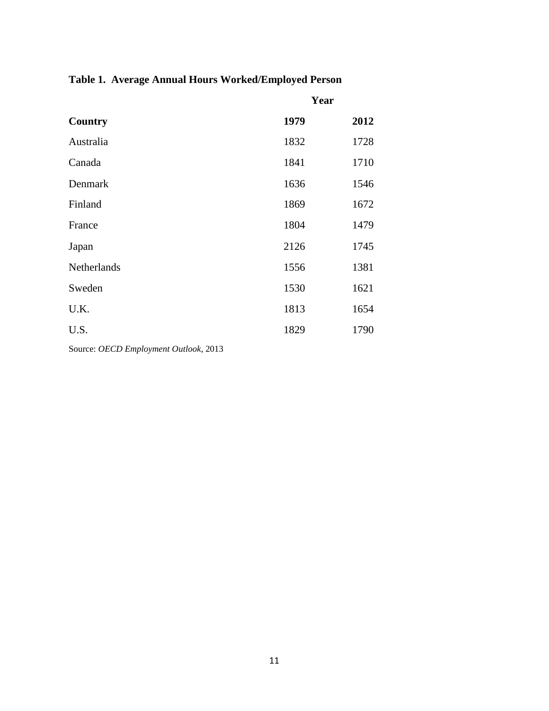## **Table 1. Average Annual Hours Worked/Employed Person**

|             | Year |      |
|-------------|------|------|
| Country     | 1979 | 2012 |
| Australia   | 1832 | 1728 |
| Canada      | 1841 | 1710 |
| Denmark     | 1636 | 1546 |
| Finland     | 1869 | 1672 |
| France      | 1804 | 1479 |
| Japan       | 2126 | 1745 |
| Netherlands | 1556 | 1381 |
| Sweden      | 1530 | 1621 |
| U.K.        | 1813 | 1654 |
| U.S.        | 1829 | 1790 |
|             |      |      |

Source: *OECD Employment Outlook*, 2013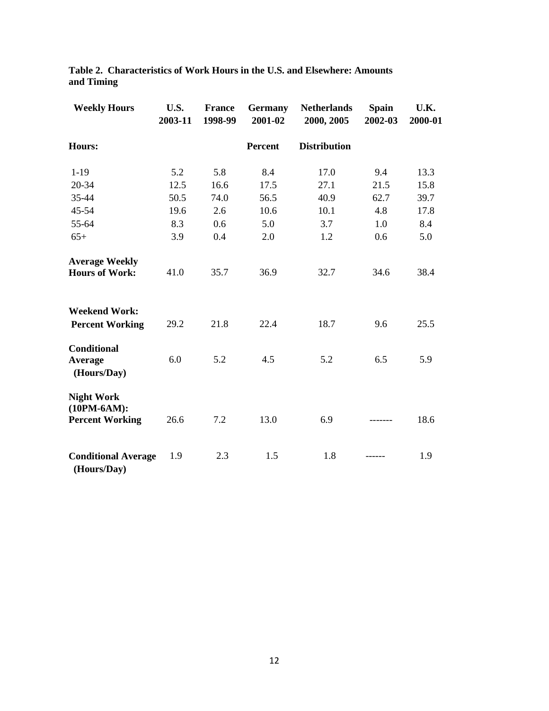| <b>Weekly Hours</b>                                          | U.S.<br>2003-11 | <b>France</b><br>1998-99 | <b>Germany</b><br>2001-02 | <b>Netherlands</b><br>2000, 2005 | <b>Spain</b><br>2002-03 | U.K.<br>2000-01 |
|--------------------------------------------------------------|-----------------|--------------------------|---------------------------|----------------------------------|-------------------------|-----------------|
| Hours:                                                       |                 |                          | Percent                   | <b>Distribution</b>              |                         |                 |
| $1-19$                                                       | 5.2             | 5.8                      | 8.4                       | 17.0                             | 9.4                     | 13.3            |
| 20-34                                                        | 12.5            | 16.6                     | 17.5                      | 27.1                             | 21.5                    | 15.8            |
| 35-44                                                        | 50.5            | 74.0                     | 56.5                      | 40.9                             | 62.7                    | 39.7            |
| 45-54                                                        | 19.6            | 2.6                      | 10.6                      | 10.1                             | 4.8                     | 17.8            |
| 55-64                                                        | 8.3             | 0.6                      | 5.0                       | 3.7                              | 1.0                     | 8.4             |
| $65+$                                                        | 3.9             | 0.4                      | 2.0                       | 1.2                              | 0.6                     | 5.0             |
| <b>Average Weekly</b><br><b>Hours of Work:</b>               | 41.0            | 35.7                     | 36.9                      | 32.7                             | 34.6                    | 38.4            |
| <b>Weekend Work:</b><br><b>Percent Working</b>               | 29.2            | 21.8                     | 22.4                      | 18.7                             | 9.6                     | 25.5            |
| Conditional<br>Average<br>(Hours/Day)                        | 6.0             | 5.2                      | 4.5                       | 5.2                              | 6.5                     | 5.9             |
| <b>Night Work</b><br>$(10PM-6AM):$<br><b>Percent Working</b> | 26.6            | 7.2                      | 13.0                      | 6.9                              |                         | 18.6            |
| <b>Conditional Average</b><br>(Hours/Day)                    | 1.9             | 2.3                      | 1.5                       | 1.8                              |                         | 1.9             |

**Table 2. Characteristics of Work Hours in the U.S. and Elsewhere: Amounts and Timing**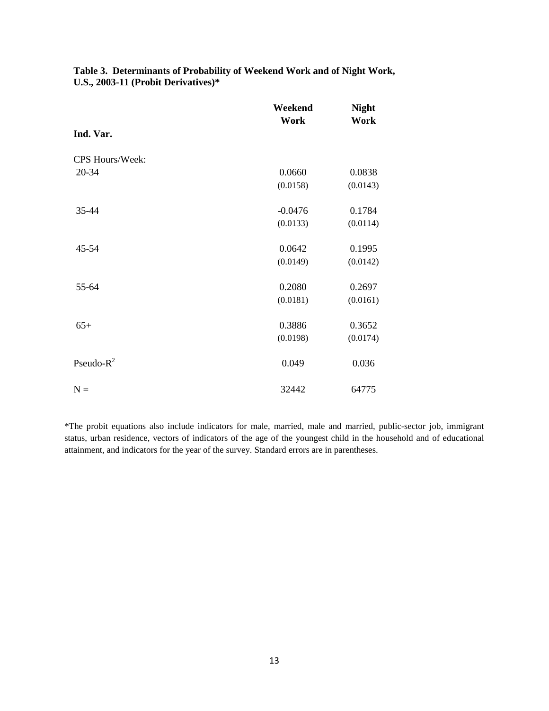|                 | Weekend   | <b>Night</b> |
|-----------------|-----------|--------------|
|                 | Work      | Work         |
| Ind. Var.       |           |              |
| CPS Hours/Week: |           |              |
| 20-34           | 0.0660    | 0.0838       |
|                 | (0.0158)  | (0.0143)     |
| 35-44           | $-0.0476$ | 0.1784       |
|                 | (0.0133)  | (0.0114)     |
| 45-54           | 0.0642    | 0.1995       |
|                 | (0.0149)  | (0.0142)     |
| 55-64           | 0.2080    | 0.2697       |
|                 | (0.0181)  | (0.0161)     |
| $65+$           | 0.3886    | 0.3652       |
|                 | (0.0198)  | (0.0174)     |
| Pseudo- $R^2$   | 0.049     | 0.036        |
| $N =$           | 32442     | 64775        |

**Table 3. Determinants of Probability of Weekend Work and of Night Work, U.S., 2003-11 (Probit Derivatives)\***

\*The probit equations also include indicators for male, married, male and married, public-sector job, immigrant status, urban residence, vectors of indicators of the age of the youngest child in the household and of educational attainment, and indicators for the year of the survey. Standard errors are in parentheses.